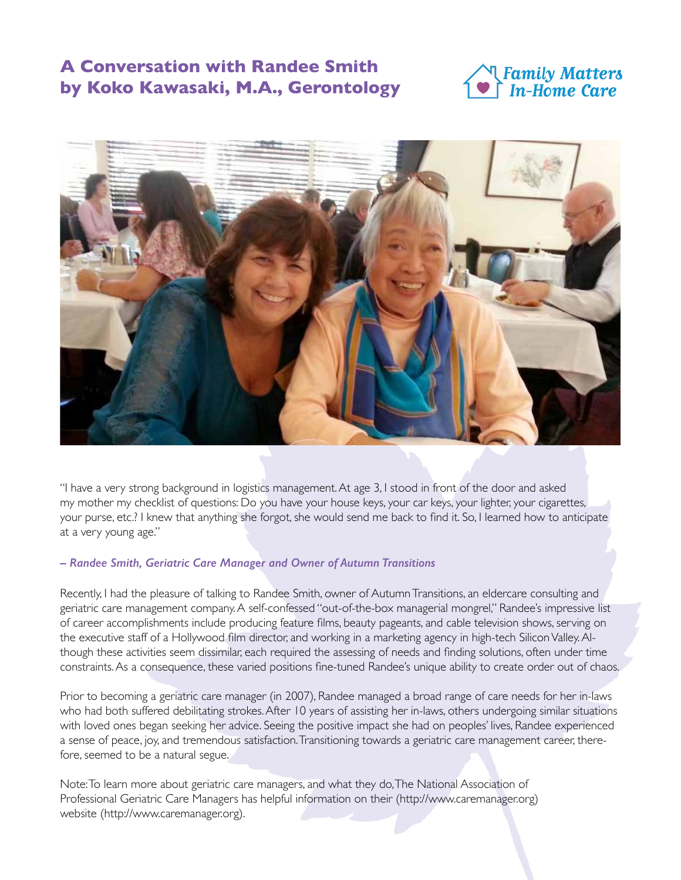# **A Conversation with Randee Smith by Koko Kawasaki, M.A., Gerontology**





"I have a very strong background in logistics management. At age 3, I stood in front of the door and asked my mother my checklist of questions: Do you have your house keys, your car keys, your lighter, your cigarettes, your purse, etc.? I knew that anything she forgot, she would send me back to find it. So, I learned how to anticipate at a very young age."

#### *– Randee Smith, Geriatric Care Manager and Owner of Autumn Transitions*

Recently, I had the pleasure of talking to Randee Smith, owner of Autumn Transitions, an eldercare consulting and geriatric care management company. A self-confessed "out-of-the-box managerial mongrel," Randee's impressive list of career accomplishments include producing feature films, beauty pageants, and cable television shows, serving on the executive staff of a Hollywood film director, and working in a marketing agency in high-tech Silicon Valley. Although these activities seem dissimilar, each required the assessing of needs and finding solutions, often under time constraints. As a consequence, these varied positions fine-tuned Randee's unique ability to create order out of chaos.

Prior to becoming a geriatric care manager (in 2007), Randee managed a broad range of care needs for her in-laws who had both suffered debilitating strokes. After 10 years of assisting her in-laws, others undergoing similar situations with loved ones began seeking her advice. Seeing the positive impact she had on peoples' lives, Randee experienced a sense of peace, joy, and tremendous satisfaction. Transitioning towards a geriatric care management career, therefore, seemed to be a natural segue.

Note: To learn more about geriatric care managers, and what they do, The National Association of Professional Geriatric Care Managers has helpful information on their (http://www.caremanager.org) website (http://www.caremanager.org).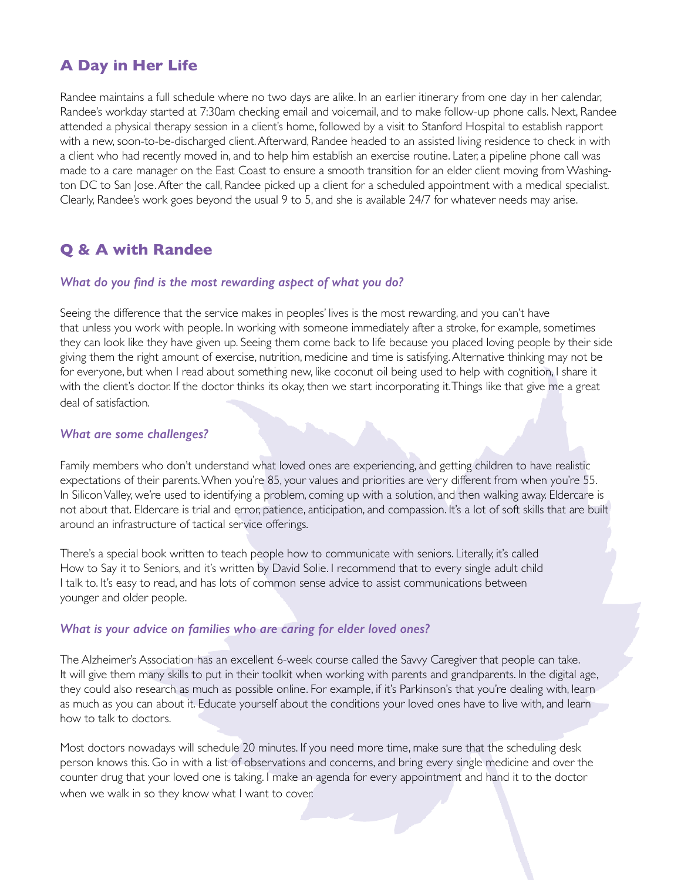### **A Day in Her Life**

Randee maintains a full schedule where no two days are alike. In an earlier itinerary from one day in her calendar, Randee's workday started at 7:30am checking email and voicemail, and to make follow-up phone calls. Next, Randee attended a physical therapy session in a client's home, followed by a visit to Stanford Hospital to establish rapport with a new, soon-to-be-discharged client. Afterward, Randee headed to an assisted living residence to check in with a client who had recently moved in, and to help him establish an exercise routine. Later, a pipeline phone call was made to a care manager on the East Coast to ensure a smooth transition for an elder client moving from Washington DC to San Jose. After the call, Randee picked up a client for a scheduled appointment with a medical specialist. Clearly, Randee's work goes beyond the usual 9 to 5, and she is available 24/7 for whatever needs may arise.

## **Q & A with Randee**

#### *What do you find is the most rewarding aspect of what you do?*

Seeing the difference that the service makes in peoples' lives is the most rewarding, and you can't have that unless you work with people. In working with someone immediately after a stroke, for example, sometimes they can look like they have given up. Seeing them come back to life because you placed loving people by their side giving them the right amount of exercise, nutrition, medicine and time is satisfying. Alternative thinking may not be for everyone, but when I read about something new, like coconut oil being used to help with cognition, I share it with the client's doctor. If the doctor thinks its okay, then we start incorporating it. Things like that give me a great deal of satisfaction.

#### *What are some challenges?*

Family members who don't understand what loved ones are experiencing, and getting children to have realistic expectations of their parents. When you're 85, your values and priorities are very different from when you're 55. In Silicon Valley, we're used to identifying a problem, coming up with a solution, and then walking away. Eldercare is not about that. Eldercare is trial and error, patience, anticipation, and compassion. It's a lot of soft skills that are built around an infrastructure of tactical service offerings.

There's a special book written to teach people how to communicate with seniors. Literally, it's called How to Say it to Seniors, and it's written by David Solie. I recommend that to every single adult child I talk to. It's easy to read, and has lots of common sense advice to assist communications between younger and older people.

#### *What is your advice on families who are caring for elder loved ones?*

The Alzheimer's Association has an excellent 6-week course called the Savvy Caregiver that people can take. It will give them many skills to put in their toolkit when working with parents and grandparents. In the digital age, they could also research as much as possible online. For example, if it's Parkinson's that you're dealing with, learn as much as you can about it. Educate yourself about the conditions your loved ones have to live with, and learn how to talk to doctors.

Most doctors nowadays will schedule 20 minutes. If you need more time, make sure that the scheduling desk person knows this. Go in with a list of observations and concerns, and bring every single medicine and over the counter drug that your loved one is taking. I make an agenda for every appointment and hand it to the doctor when we walk in so they know what I want to cover.